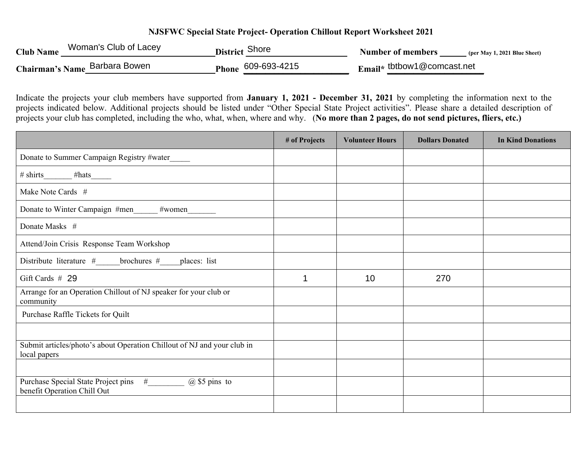## **NJSFWC Special State Project- Operation Chillout Report Worksheet 2021**

| <b>Club Name</b> | Woman's Club of Lacey         | <b>District Shore</b> | Number of members<br>(per May 1, 2021 Blue Sheet) |
|------------------|-------------------------------|-----------------------|---------------------------------------------------|
|                  | Chairman's Name Barbara Bowen | Phone 609-693-4215    | Email <sup>*</sup> tbtbow1@comcast.net            |

Indicate the projects your club members have supported from **January 1, 2021 - December 31, 2021** by completing the information next to the projects indicated below. Additional projects should be listed under "Other Special State Project activities". Please share a detailed description of projects your club has completed, including the who, what, when, where and why. (**No more than 2 pages, do not send pictures, fliers, etc.)**

|                                                                                               | # of Projects | <b>Volunteer Hours</b> | <b>Dollars Donated</b> | <b>In Kind Donations</b> |
|-----------------------------------------------------------------------------------------------|---------------|------------------------|------------------------|--------------------------|
| Donate to Summer Campaign Registry #water_____                                                |               |                        |                        |                          |
| $\# \text{ shirts}$ $\qquad \qquad \# \text{hats}$                                            |               |                        |                        |                          |
| Make Note Cards #                                                                             |               |                        |                        |                          |
| Donate to Winter Campaign #men<br>$#$ women                                                   |               |                        |                        |                          |
| Donate Masks #                                                                                |               |                        |                        |                          |
| Attend/Join Crisis Response Team Workshop                                                     |               |                        |                        |                          |
| Distribute literature $#$ brochures $#$ places: list                                          |               |                        |                        |                          |
| Gift Cards $#29$                                                                              | 1             | 10                     | 270                    |                          |
| Arrange for an Operation Chillout of NJ speaker for your club or<br>community                 |               |                        |                        |                          |
| Purchase Raffle Tickets for Quilt                                                             |               |                        |                        |                          |
|                                                                                               |               |                        |                        |                          |
| Submit articles/photo's about Operation Chillout of NJ and your club in<br>local papers       |               |                        |                        |                          |
|                                                                                               |               |                        |                        |                          |
| Purchase Special State Project pins #___________ @ \$5 pins to<br>benefit Operation Chill Out |               |                        |                        |                          |
|                                                                                               |               |                        |                        |                          |